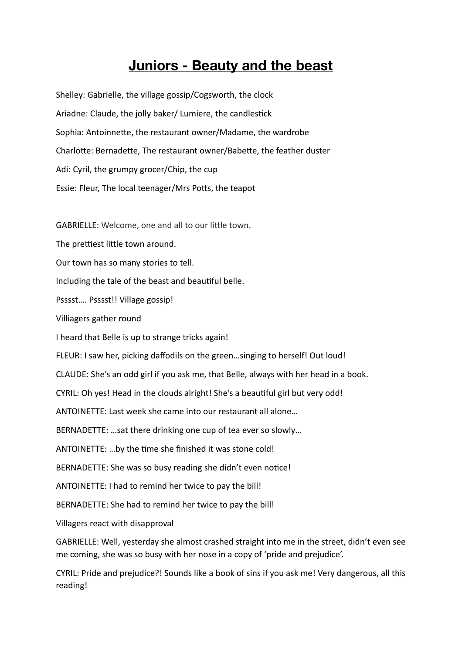# **Juniors - Beauty and the beast**

Shelley: Gabrielle, the village gossip/Cogsworth, the clock Ariadne: Claude, the jolly baker/ Lumiere, the candlestick Sophia: Antoinnette, the restaurant owner/Madame, the wardrobe Charlotte: Bernadette, The restaurant owner/Babette, the feather duster Adi: Cyril, the grumpy grocer/Chip, the cup Essie: Fleur, The local teenager/Mrs Potts, the teapot

GABRIELLE: Welcome, one and all to our little town.

The prettiest little town around.

Our town has so many stories to tell.

Including the tale of the beast and beautiful belle.

Psssst…. Psssst!! Village gossip!

Villiagers gather round

I heard that Belle is up to strange tricks again!

FLEUR: I saw her, picking daffodils on the green…singing to herself! Out loud!

CLAUDE: She's an odd girl if you ask me, that Belle, always with her head in a book.

CYRIL: Oh yes! Head in the clouds alright! She's a beautiful girl but very odd!

ANTOINETTE: Last week she came into our restaurant all alone…

BERNADETTE: …sat there drinking one cup of tea ever so slowly…

ANTOINETTE: ... by the time she finished it was stone cold!

BERNADETTE: She was so busy reading she didn't even notice!

ANTOINETTE: I had to remind her twice to pay the bill!

BERNADETTE: She had to remind her twice to pay the bill!

Villagers react with disapproval

GABRIELLE: Well, yesterday she almost crashed straight into me in the street, didn't even see me coming, she was so busy with her nose in a copy of 'pride and prejudice'.

CYRIL: Pride and prejudice?! Sounds like a book of sins if you ask me! Very dangerous, all this reading!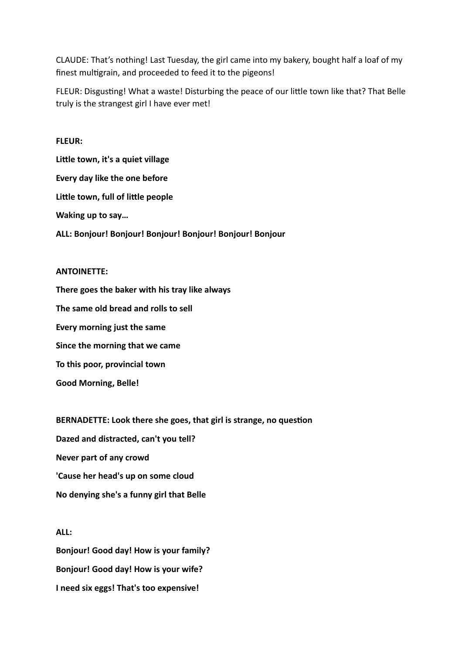CLAUDE: That's nothing! Last Tuesday, the girl came into my bakery, bought half a loaf of my finest multigrain, and proceeded to feed it to the pigeons!

FLEUR: Disgusting! What a waste! Disturbing the peace of our little town like that? That Belle truly is the strangest girl I have ever met!

# **FLEUR:**

Little town, it's a quiet village **Every day like the one before Little town, full of little people Waking up to say… ALL: Bonjour! Bonjour! Bonjour! Bonjour! Bonjour! Bonjour** 

## **ANTOINETTE:**

**There goes the baker with his tray like always The same old bread and rolls to sell Every morning just the same Since the morning that we came To this poor, provincial town Good Morning, Belle!** 

**BERNADETTE: Look there she goes, that girl is strange, no question Dazed and distracted, can't you tell? Never part of any crowd 'Cause her head's up on some cloud No denying she's a funny girl that Belle** 

# **ALL: Bonjour! Good day! How is your family? Bonjour! Good day! How is your wife? I need six eggs! That's too expensive!**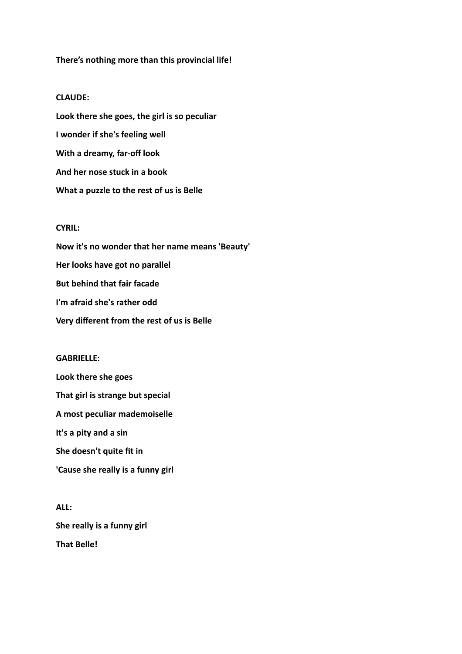### **There's nothing more than this provincial life!**

#### **CLAUDE:**

**Look there she goes, the girl is so peculiar I wonder if she's feeling well With a dreamy, far-off look And her nose stuck in a book What a puzzle to the rest of us is Belle** 

# **CYRIL:**

**Now it's no wonder that her name means 'Beauty' Her looks have got no parallel But behind that fair facade I'm afraid she's rather odd Very different from the rest of us is Belle** 

#### **GABRIELLE:**

**Look there she goes That girl is strange but special A most peculiar mademoiselle It's a pity and a sin She doesn't quite fit in 'Cause she really is a funny girl** 

**ALL: She really is a funny girl That Belle!**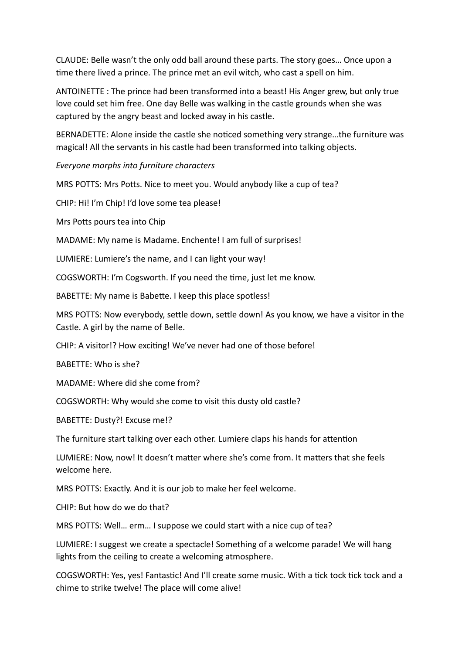CLAUDE: Belle wasn't the only odd ball around these parts. The story goes… Once upon a time there lived a prince. The prince met an evil witch, who cast a spell on him.

ANTOINETTE : The prince had been transformed into a beast! His Anger grew, but only true love could set him free. One day Belle was walking in the castle grounds when she was captured by the angry beast and locked away in his castle.

BERNADETTE: Alone inside the castle she noticed something very strange...the furniture was magical! All the servants in his castle had been transformed into talking objects.

*Everyone morphs into furniture characters* 

MRS POTTS: Mrs Potts. Nice to meet you. Would anybody like a cup of tea?

CHIP: Hi! I'm Chip! I'd love some tea please!

Mrs Potts pours tea into Chip

MADAME: My name is Madame. Enchente! I am full of surprises!

LUMIERE: Lumiere's the name, and I can light your way!

COGSWORTH: I'm Cogsworth. If you need the time, just let me know.

BABETTE: My name is Babette. I keep this place spotless!

MRS POTTS: Now everybody, settle down, settle down! As you know, we have a visitor in the Castle. A girl by the name of Belle.

CHIP: A visitor!? How exciting! We've never had one of those before!

BABETTE: Who is she?

MADAME: Where did she come from?

COGSWORTH: Why would she come to visit this dusty old castle?

BABETTE: Dusty?! Excuse me!?

The furniture start talking over each other. Lumiere claps his hands for attention

LUMIERE: Now, now! It doesn't matter where she's come from. It matters that she feels welcome here.

MRS POTTS: Exactly. And it is our job to make her feel welcome.

CHIP: But how do we do that?

MRS POTTS: Well… erm… I suppose we could start with a nice cup of tea?

LUMIERE: I suggest we create a spectacle! Something of a welcome parade! We will hang lights from the ceiling to create a welcoming atmosphere.

COGSWORTH: Yes, yes! Fantastic! And I'll create some music. With a tick tock tick tock and a chime to strike twelve! The place will come alive!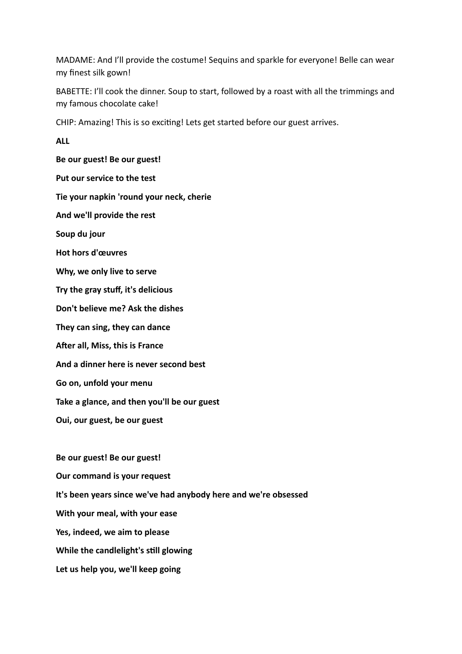MADAME: And I'll provide the costume! Sequins and sparkle for everyone! Belle can wear my finest silk gown!

BABETTE: I'll cook the dinner. Soup to start, followed by a roast with all the trimmings and my famous chocolate cake!

CHIP: Amazing! This is so exciting! Lets get started before our guest arrives.

**ALL** 

**Be our guest! Be our guest! Put our service to the test Tie your napkin 'round your neck, cherie And we'll provide the rest Soup du jour Hot hors d'œuvres Why, we only live to serve Try the gray stuff, it's delicious Don't believe me? Ask the dishes They can sing, they can dance A^er all, Miss, this is France And a dinner here is never second best Go on, unfold your menu Take a glance, and then you'll be our guest Oui, our guest, be our guest Be our guest! Be our guest! Our command is your request It's been years since we've had anybody here and we're obsessed** 

**With your meal, with your ease** 

**Yes, indeed, we aim to please** 

**While the candlelight's still glowing** 

**Let us help you, we'll keep going**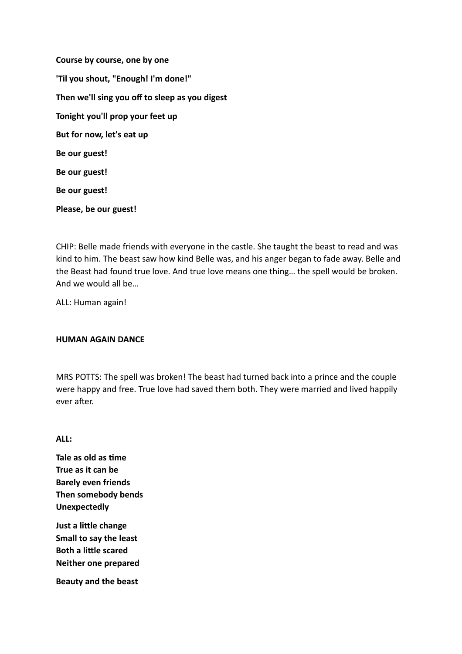**Course by course, one by one 'Til you shout, "Enough! I'm done!" Then we'll sing you off to sleep as you digest Tonight you'll prop your feet up But for now, let's eat up Be our guest! Be our guest! Be our guest! Please, be our guest!** 

CHIP: Belle made friends with everyone in the castle. She taught the beast to read and was kind to him. The beast saw how kind Belle was, and his anger began to fade away. Belle and the Beast had found true love. And true love means one thing… the spell would be broken. And we would all be…

ALL: Human again!

# **HUMAN AGAIN DANCE**

MRS POTTS: The spell was broken! The beast had turned back into a prince and the couple were happy and free. True love had saved them both. They were married and lived happily ever after.

**ALL:** 

**Tale as old as time True as it can be Barely even friends Then somebody bends Unexpectedly**

**Just a little change Small to say the least Both a little scared Neither one prepared** 

**Beauty and the beast**